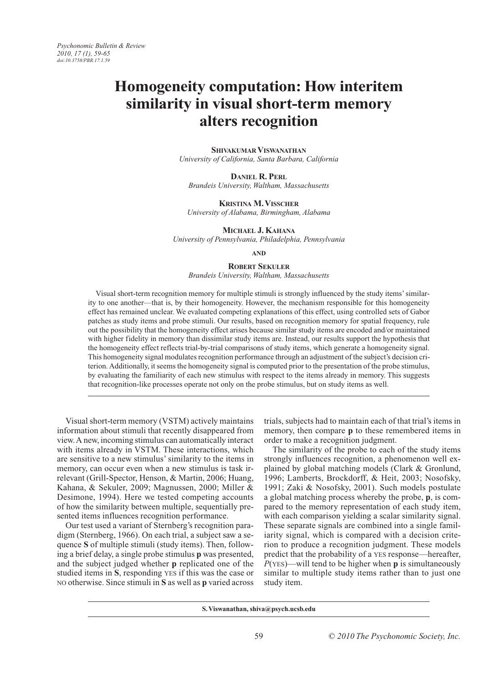*Psychonomic Bulletin & Review 2010, 17 (1), 59-65 doi:10.3758/PBR.17.1.59*

# **Homogeneity computation: How interitem similarity in visual short-term memory alters recognition**

**Shivakumar Viswanathan** *University of California, Santa Barbara, California*

**Daniel R. Perl** *Brandeis University, Waltham, Massachusetts*

**Kristina M. Visscher** *University of Alabama, Birmingham, Alabama*

**Michael J. Kahana** *University of Pennsylvania, Philadelphia, Pennsylvania*

**and**

## **Robert Sekuler** *Brandeis University, Waltham, Massachusetts*

Visual short-term recognition memory for multiple stimuli is strongly influenced by the study items' similarity to one another—that is, by their homogeneity. However, the mechanism responsible for this homogeneity effect has remained unclear. We evaluated competing explanations of this effect, using controlled sets of Gabor patches as study items and probe stimuli. Our results, based on recognition memory for spatial frequency, rule out the possibility that the homogeneity effect arises because similar study items are encoded and/or maintained with higher fidelity in memory than dissimilar study items are. Instead, our results support the hypothesis that the homogeneity effect reflects trial-by-trial comparisons of study items, which generate a homogeneity signal. This homogeneity signal modulates recognition performance through an adjustment of the subject's decision criterion. Additionally, it seems the homogeneity signal is computed prior to the presentation of the probe stimulus, by evaluating the familiarity of each new stimulus with respect to the items already in memory. This suggests that recognition-like processes operate not only on the probe stimulus, but on study items as well.

Visual short-term memory (VSTM) actively maintains information about stimuli that recently disappeared from view. A new, incoming stimulus can automatically interact with items already in VSTM. These interactions, which are sensitive to a new stimulus' similarity to the items in memory, can occur even when a new stimulus is task irrelevant (Grill-Spector, Henson, & Martin, 2006; Huang, Kahana, & Sekuler, 2009; Magnussen, 2000; Miller & Desimone, 1994). Here we tested competing accounts of how the similarity between multiple, sequentially presented items influences recognition performance.

Our test used a variant of Sternberg's recognition paradigm (Sternberg, 1966). On each trial, a subject saw a sequence **S** of multiple stimuli (study items). Then, following a brief delay, a single probe stimulus **p** was presented, and the subject judged whether **p** replicated one of the studied items in **S**, responding yes if this was the case or no otherwise. Since stimuli in **S** as well as **p** varied across

trials, subjects had to maintain each of that trial's items in memory, then compare **p** to these remembered items in order to make a recognition judgment.

The similarity of the probe to each of the study items strongly influences recognition, a phenomenon well explained by global matching models (Clark & Gronlund, 1996; Lamberts, Brockdorff, & Heit, 2003; Nosofsky, 1991; Zaki & Nosofsky, 2001). Such models postulate a global matching process whereby the probe, **p**, is compared to the memory representation of each study item, with each comparison yielding a scalar similarity signal. These separate signals are combined into a single familiarity signal, which is compared with a decision criterion to produce a recognition judgment. These models predict that the probability of a yes response—hereafter, *P*(yes)—will tend to be higher when **p** is simultaneously similar to multiple study items rather than to just one study item.

**S. Viswanathan, shiva@psych.ucsb.edu**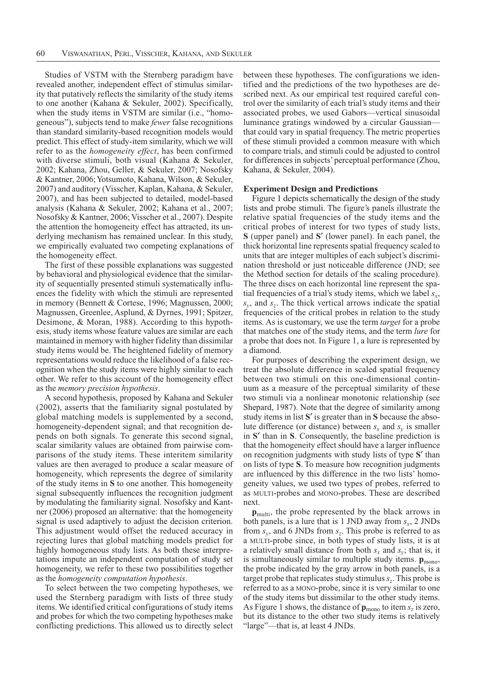Studies of VSTM with the Sternberg paradigm have revealed another, independent effect of stimulus similarity that putatively reflects the similarity of the study items to one another (Kahana & Sekuler, 2002). Specifically, when the study items in VSTM are similar (i.e., "homogeneous"), subjects tend to make *fewer* false recognitions than standard similarity-based recognition models would predict. This effect of study-item similarity, which we will refer to as the *homogeneit*y *effect*, has been confirmed with diverse stimuli, both visual (Kahana & Sekuler, 2002; Kahana, Zhou, Geller, & Sekuler, 2007; Nosofsky & Kantner, 2006; Yotsumoto, Kahana, Wilson, & Sekuler, 2007) and auditory (Visscher, Kaplan, Kahana, & Sekuler, 2007), and has been subjected to detailed, model-based analysis (Kahana & Sekuler, 2002; Kahana et al., 2007; Nosofsky & Kantner, 2006; Visscher et al., 2007). Despite the attention the homogeneity effect has attracted, its underlying mechanism has remained unclear. In this study, we empirically evaluated two competing explanations of the homogeneity effect.

The first of these possible explanations was suggested by behavioral and physiological evidence that the similarity of sequentially presented stimuli systematically influences the fidelity with which the stimuli are represented in memory (Bennett & Cortese, 1996; Magnussen, 2000; Magnussen, Greenlee, Asplund, & Dyrnes, 1991; Spitzer, Desimone, & Moran, 1988). According to this hypothesis, study items whose feature values are similar are each maintained in memory with higher fidelity than dissimilar study items would be. The heightened fidelity of memory representations would reduce the likelihood of a false recognition when the study items were highly similar to each other. We refer to this account of the homogeneity effect as the *memory precision hypothesis*.

A second hypothesis, proposed by Kahana and Sekuler (2002), asserts that the familiarity signal postulated by global matching models is supplemented by a second, homogeneity-dependent signal; and that recognition depends on both signals. To generate this second signal, scalar similarity values are obtained from pairwise comparisons of the study items. These interitem similarity values are then averaged to produce a scalar measure of homogeneity, which represents the degree of similarity of the study items in **S** to one another. This homogeneity signal subsequently influences the recognition judgment by modulating the familiarity signal. Nosofsky and Kantner (2006) proposed an alternative: that the homogeneity signal is used adaptively to adjust the decision criterion. This adjustment would offset the reduced accuracy in rejecting lures that global matching models predict for highly homogeneous study lists. As both these interpretations impute an independent computation of study set homogeneity, we refer to these two possibilities together as the *homogeneity computation hypothesis*.

To select between the two competing hypotheses, we used the Sternberg paradigm with lists of three study items. We identified critical configurations of study items and probes for which the two competing hypotheses make conflicting predictions. This allowed us to directly select between these hypotheses. The configurations we identified and the predictions of the two hypotheses are described next. As our empirical test required careful control over the similarity of each trial's study items and their associated probes, we used Gabors—vertical sinusoidal luminance gratings windowed by a circular Gaussian that could vary in spatial frequency. The metric properties of these stimuli provided a common measure with which to compare trials, and stimuli could be adjusted to control for differences in subjects' perceptual performance (Zhou, Kahana, & Sekuler, 2004).

# **Experiment Design and Predictions**

Figure 1 depicts schematically the design of the study lists and probe stimuli. The figure's panels illustrate the relative spatial frequencies of the study items and the critical probes of interest for two types of study lists, **S** (upper panel) and **S***′* (lower panel). In each panel, the thick horizontal line represents spatial frequency scaled to units that are integer multiples of each subject's discrimination threshold or just noticeable difference (JND; see the Method section for details of the scaling procedure). The three discs on each horizontal line represent the spatial frequencies of a trial's study items, which we label  $s<sub>x</sub>$ ,  $s<sub>v</sub>$ , and  $s<sub>z</sub>$ . The thick vertical arrows indicate the spatial frequencies of the critical probes in relation to the study items. As is customary, we use the term *target* for a probe that matches one of the study items, and the term *lure* for a probe that does not. In Figure 1, a lure is represented by a diamond.

For purposes of describing the experiment design, we treat the absolute difference in scaled spatial frequency between two stimuli on this one-dimensional continuum as a measure of the perceptual similarity of these two stimuli via a nonlinear monotonic relationship (see Shepard, 1987). Note that the degree of similarity among study items in list **S***′* is greater than in **S** because the absolute difference (or distance) between  $s<sub>x</sub>$  and  $s<sub>y</sub>$  is smaller in **S***′* than in **S**. Consequently, the baseline prediction is that the homogeneity effect should have a larger influence on recognition judgments with study lists of type **S***′* than on lists of type **S**. To measure how recognition judgments are influenced by this difference in the two lists' homogeneity values, we used two types of probes, referred to as multi-probes and mono-probes. These are described next.

**p**<sub>multi</sub>, the probe represented by the black arrows in both panels, is a lure that is 1 JND away from  $s_x$ , 2 JNDs from  $s_v$ , and 6 JNDs from  $s_z$ . This probe is referred to as a MULTI-probe since, in both types of study lists, it is at a relatively small distance from both  $s_x$  and  $s_y$ ; that is, it is simultaneously similar to multiple study items.  $\mathbf{p}_{\text{mono}}$ , the probe indicated by the gray arrow in both panels, is a target probe that replicates study stimulus *sz*. This probe is referred to as a mono-probe, since it is very similar to one of the study items but dissimilar to the other study items. As Figure 1 shows, the distance of  $\mathbf{p}_{\text{mono}}$  to item  $s_z$  is zero, but its distance to the other two study items is relatively "large"—that is, at least 4 JNDs.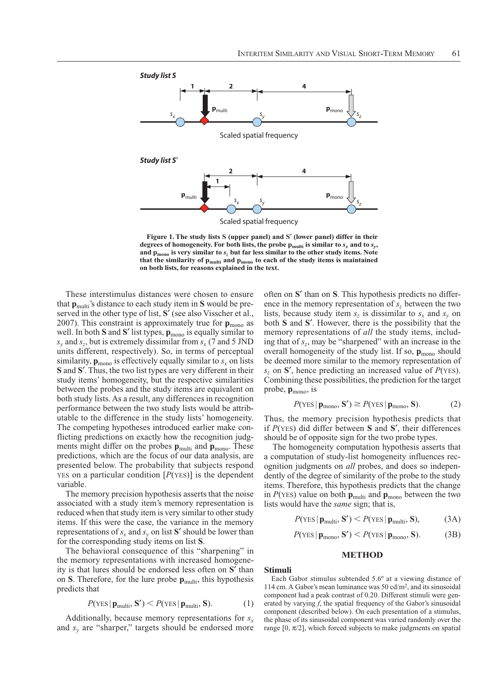

**Figure 1. The study lists S (upper panel) and S***′* **(lower panel) differ in their**  degrees of homogeneity. For both lists, the probe  $p_{multi}$  is similar to  $s_x$  and to  $s_y$ , and  $p_{\text{mono}}$  is very similar to  $s_z$  but far less similar to the other study items. Note **that the similarity of pmulti and pmono to each of the study items is maintained on both lists, for reasons explained in the text.**

These interstimulus distances were chosen to ensure that  $\mathbf{p}_{\text{multi}}$ 's distance to each study item in **S** would be preserved in the other type of list, **S***′* (see also Visscher et al., 2007). This constraint is approximately true for  $p_{\text{mono}}$  as well. In both **S** and **S'** list types,  $\mathbf{p}_{\text{mono}}$  is equally similar to  $s_y$  and  $s_z$ , but is extremely dissimilar from  $s_x$  (7 and 5 JND units different, respectively). So, in terms of perceptual similarity,  $\mathbf{p}_{\text{mono}}$  is effectively equally similar to  $s_x$  on lists **S** and **S***′*. Thus, the two list types are very different in their study items' homogeneity, but the respective similarities between the probes and the study items are equivalent on both study lists. As a result, any differences in recognition performance between the two study lists would be attributable to the difference in the study lists' homogeneity. The competing hypotheses introduced earlier make conflicting predictions on exactly how the recognition judgments might differ on the probes  $\mathbf{p}_{\text{multi}}$  and  $\mathbf{p}_{\text{mono}}$ . These predictions, which are the focus of our data analysis, are presented below. The probability that subjects respond  $YES$  on a particular condition  $[P(YES)]$  is the dependent variable.

The memory precision hypothesis asserts that the noise associated with a study item's memory representation is reduced when that study item is very similar to other study items. If this were the case, the variance in the memory representations of  $s_x$  and  $s_y$  on list **S**<sup>*⁄*</sup> should be lower than for the corresponding study items on list **S**.

The behavioral consequence of this "sharpening" in the memory representations with increased homogeneity is that lures should be endorsed less often on **S***′* than on **S**. Therefore, for the lure probe  $\mathbf{p}_{multi}$ , this hypothesis predicts that

$$
P(\text{YES} \mid \mathbf{p}_{\text{multi}}, \mathbf{S}') < P(\text{YES} \mid \mathbf{p}_{\text{multi}}, \mathbf{S}).\tag{1}
$$

Additionally, because memory representations for *sx* and *sy* are "sharper," targets should be endorsed more often on **S***′* than on **S**. This hypothesis predicts no difference in the memory representation of  $s<sub>z</sub>$  between the two lists, because study item  $s_z$  is dissimilar to  $s_x$  and  $s_y$  on both **S** and **S***′*. However, there is the possibility that the memory representations of *all* the study items, including that of *sz*, may be "sharpened" with an increase in the overall homogeneity of the study list. If so,  $p_{\text{mono}}$  should be deemed more similar to the memory representation of  $s_z$  on **S**<sup>*'*</sup>, hence predicting an increased value of *P*(YES). Combining these possibilities, the prediction for the target probe,  $\mathbf{p}_{\text{mono}}$ , is

$$
P(YES | p_{mono}, S') \ge P(YES | p_{mono}, S). \tag{2}
$$

Thus, the memory precision hypothesis predicts that if *P*(yes) did differ between **S** and **S***′*, their differences should be of opposite sign for the two probe types.

The homogeneity computation hypothesis asserts that a computation of study-list homogeneity influences recognition judgments on *all* probes, and does so independently of the degree of similarity of the probe to the study items. Therefore, this hypothesis predicts that the change in  $P(YES)$  value on both  $\mathbf{p}_{\text{multi}}$  and  $\mathbf{p}_{\text{mono}}$  between the two lists would have the *same* sign; that is,

$$
P(YES | p_{multi}, S') < P(YES | p_{multi}, S), \tag{3A}
$$

$$
P(\text{YES} \mid \mathbf{p}_{\text{mono}}, \mathbf{S}') < P(\text{YES} \mid \mathbf{p}_{\text{mono}}, \mathbf{S}).\tag{3B}
$$

# **Method**

# **Stimuli**

Each Gabor stimulus subtended 5.6º at a viewing distance of 114 cm. A Gabor's mean luminance was 50 cd/m2, and its sinusoidal component had a peak contrast of 0.20. Different stimuli were generated by varying *f*, the spatial frequency of the Gabor's sinusoidal component (described below). On each presentation of a stimulus, the phase of its sinusoidal component was varied randomly over the range  $[0, \pi/2]$ , which forced subjects to make judgments on spatial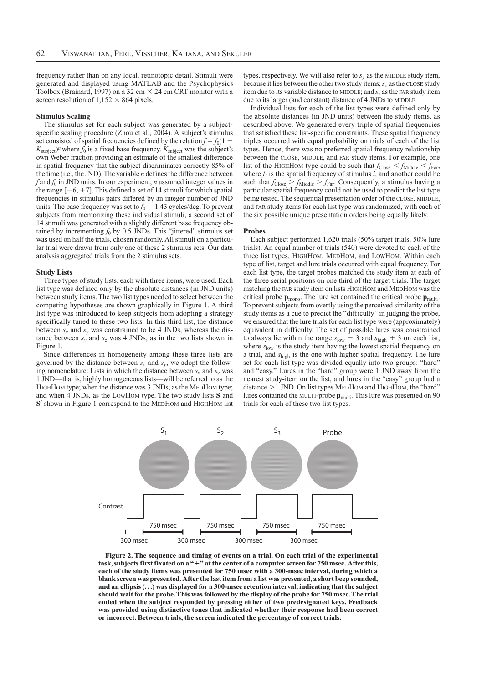frequency rather than on any local, retinotopic detail. Stimuli were generated and displayed using MATLAB and the Psychophysics Toolbox (Brainard, 1997) on a 32 cm  $\times$  24 cm CRT monitor with a screen resolution of  $1,152 \times 864$  pixels.

#### **Stimulus Scaling**

The stimulus set for each subject was generated by a subjectspecific scaling procedure (Zhou et al., 2004). A subject's stimulus set consisted of spatial frequencies defined by the relation  $f = f_0(1 +$  $K_{\text{subject}}$ )<sup>n</sup> where  $f_0$  is a fixed base frequency.  $K_{\text{subject}}$  was the subject's own Weber fraction providing an estimate of the smallest difference in spatial frequency that the subject discriminates correctly 85% of the time (i.e., the JND). The variable *n* defines the difference between  $f$  and  $f_0$  in JND units. In our experiment, *n* assumed integer values in the range  $[-6, +7]$ . This defined a set of 14 stimuli for which spatial frequencies in stimulus pairs differed by an integer number of JND units. The base frequency was set to  $f_0 = 1.43$  cycles/deg. To prevent subjects from memorizing these individual stimuli, a second set of 14 stimuli was generated with a slightly different base frequency obtained by incrementing  $f_0$  by 0.5 JNDs. This "jittered" stimulus set was used on half the trials, chosen randomly. All stimuli on a particular trial were drawn from only one of these 2 stimulus sets. Our data analysis aggregated trials from the 2 stimulus sets.

#### **Study Lists**

Three types of study lists, each with three items, were used. Each list type was defined only by the absolute distances (in JND units) between study items. The two list types needed to select between the competing hypotheses are shown graphically in Figure 1. A third list type was introduced to keep subjects from adopting a strategy specifically tuned to these two lists. In this third list, the distance between  $s_x$  and  $s_y$  was constrained to be 4 JNDs, whereas the distance between  $s_y$  and  $s_z$  was 4 JNDs, as in the two lists shown in Figure 1.

Since differences in homogeneity among these three lists are governed by the distance between  $s_x$  and  $s_y$ , we adopt the following nomenclature: Lists in which the distance between  $s_x$  and  $s_y$  was 1 JND—that is, highly homogeneous lists—will be referred to as the HIGHHOM type; when the distance was 3 JNDs, as the MEDHOM type; and when 4 JNDs, as the LowHom type. The two study lists **S** and **S'** shown in Figure 1 correspond to the MEDHOM and HIGHHOM list types, respectively. We will also refer to  $s<sub>v</sub>$  as the MIDDLE study item, because it lies between the other two study items;  $s<sub>x</sub>$  as the close study item due to its variable distance to MIDDLE; and  $s<sub>z</sub>$  as the FAR study item due to its larger (and constant) distance of 4 JNDs to MIDDLE.

Individual lists for each of the list types were defined only by the absolute distances (in JND units) between the study items, as described above. We generated every triple of spatial frequencies that satisfied these list-specific constraints. These spatial frequency triples occurred with equal probability on trials of each of the list types. Hence, there was no preferred spatial frequency relationship between the CLOSE, MIDDLE, and FAR study items. For example, one list of the HIGHHOM type could be such that  $f_{\text{Close}} < f_{\text{Middle}} < f_{\text{Far}},$ where  $f_i$  is the spatial frequency of stimulus  $i$ , and another could be such that  $f_{\text{Close}} > f_{\text{Middle}} > f_{\text{Far}}$ . Consequently, a stimulus having a particular spatial frequency could not be used to predict the list type being tested. The sequential presentation order of the CLOSE, MIDDLE, and far study items for each list type was randomized, with each of the six possible unique presentation orders being equally likely.

#### **Probes**

Each subject performed 1,620 trials (50% target trials, 50% lure trials). An equal number of trials (540) were devoted to each of the three list types, HIGHHOM, MEDHOM, and LOWHOM. Within each type of list, target and lure trials occurred with equal frequency. For each list type, the target probes matched the study item at each of the three serial positions on one third of the target trials. The target matching the FAR study item on lists HIGHHOM and MEDHOM was the critical probe  $\mathbf{p}_{\text{mono}}$ . The lure set contained the critical probe  $\mathbf{p}_{\text{multi}}$ . To prevent subjects from overtly using the perceived similarity of the study items as a cue to predict the "difficulty" in judging the probe, we ensured that the lure trials for each list type were (approximately) equivalent in difficulty. The set of possible lures was constrained to always lie within the range  $s_{\text{low}}$  – 3 and  $s_{\text{high}}$  + 3 on each list, where  $s_{\text{low}}$  is the study item having the lowest spatial frequency on a trial, and *s*high is the one with higher spatial frequency. The lure set for each list type was divided equally into two groups: "hard" and "easy." Lures in the "hard" group were 1 JND away from the nearest study-item on the list, and lures in the "easy" group had a  $distance$  >1 JND. On list types MEDHOM and HIGHHOM, the "hard" lures contained the MULTI-probe  $p_{\text{multi}}$ . This lure was presented on 90 trials for each of these two list types.



**Figure 2. The sequence and timing of events on a trial. On each trial of the experimental task, subjects first fixated on a "**1**" at the center of a computer screen for 750 msec. After this, each of the study items was presented for 750 msec with a 300-msec interval, during which a blank screen was presented. After the last item from a list was presented, a short beep sounded, and an ellipsis (. . .) was displayed for a 300-msec retention interval, indicating that the subject should wait for the probe. This was followed by the display of the probe for 750 msec. The trial ended when the subject responded by pressing either of two predesignated keys. Feedback was provided using distinctive tones that indicated whether their response had been correct or incorrect. Between trials, the screen indicated the percentage of correct trials.**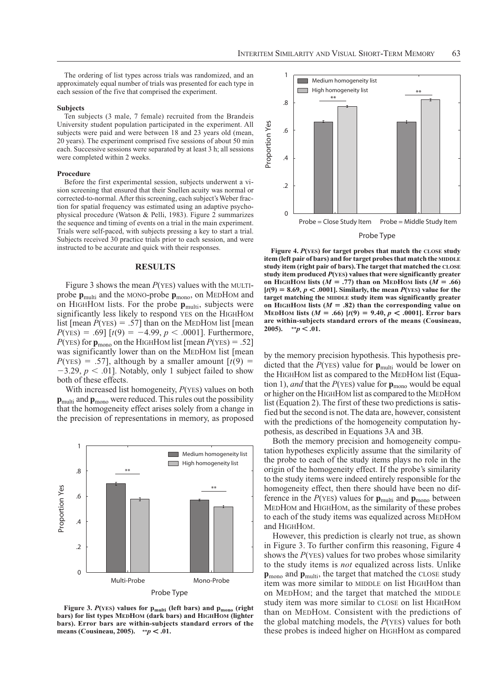The ordering of list types across trials was randomized, and an approximately equal number of trials was presented for each type in each session of the five that comprised the experiment.

#### **Subjects**

Ten subjects (3 male, 7 female) recruited from the Brandeis University student population participated in the experiment. All subjects were paid and were between 18 and 23 years old (mean, 20 years). The experiment comprised five sessions of about 50 min each. Successive sessions were separated by at least 3 h; all sessions were completed within 2 weeks.

## **Procedure**

Before the first experimental session, subjects underwent a vision screening that ensured that their Snellen acuity was normal or corrected-to-normal. After this screening, each subject's Weber fraction for spatial frequency was estimated using an adaptive psychophysical procedure (Watson & Pelli, 1983). Figure 2 summarizes the sequence and timing of events on a trial in the main experiment. Trials were self-paced, with subjects pressing a key to start a trial. Subjects received 30 practice trials prior to each session, and were instructed to be accurate and quick with their responses.

### **Results**

Figure 3 shows the mean  $P(YES)$  values with the MULTIprobe  $p_{\text{multi}}$  and the MONO-probe  $p_{\text{mono}}$ , on MEDHOM and on HIGHHOM lists. For the probe  $p_{multi}$ , subjects were significantly less likely to respond YES on the HIGHHOM list [mean  $P(YES) = .57$ ] than on the MEDHOM list [mean  $P(YES) = .69$   $[t(9) = -4.99, p < .0001]$ . Furthermore, *P*(YES) for  $\mathbf{p}_{\text{mono}}$  on the HIGHHOM list [mean *P*(YES) = .52] was significantly lower than on the MEDHOM list [mean  $P(YES) = .57$ , although by a smaller amount  $\lceil t(9) \rceil$  $-3.29$ ,  $p < .01$ ]. Notably, only 1 subject failed to show both of these effects.

With increased list homogeneity, *P*(yes) values on both **p**<sub>multi</sub> and **p**<sub>mono</sub> were reduced. This rules out the possibility that the homogeneity effect arises solely from a change in the precision of representations in memory, as proposed



**Figure 3.** *P***(yes) values for pmulti (left bars) and pmono (right bars**) for list types **MEDHOM** (dark bars) and **HIGHHOM** (lighter **bars). Error bars are within-subjects standard errors of the means (Cousineau, 2005).**  $* p < .01$ .



**Figure 4.** *P***(yes) for target probes that match the close study item (left pair of bars) and for target probes that match the MIDDLE study item (right pair of bars). The target that matched the close study item produced** *P***(yes) values that were significantly greater**  on **HIGHHOM** lists ( $M = .77$ ) than on **MEDHOM** lists ( $M = .66$ )  $[t(9) = 8.69, p < .0001]$ . Similarly, the mean  $P(YES)$  value for the target matching the **MIDDLE** study item was significantly greater on **HIGHHOM** lists ( $M = .82$ ) than the corresponding value on **MEDHOM** lists  $(M = .66)$   $[t(9) = 9.40, p < .0001]$ . Error bars **are within-subjects standard errors of the means (Cousineau, 2005).**  $* p < .01$ .

by the memory precision hypothesis. This hypothesis predicted that the  $P(YES)$  value for  $\mathbf{p}_{multi}$  would be lower on the HIGHHom list as compared to the MEDHOM list (Equation 1), *and* that the *P*(YES) value for  $\mathbf{p}_{\text{mono}}$  would be equal or higher on the HIGHHOM list as compared to the MEDHOM list (Equation 2). The first of these two predictions is satisfied but the second is not. The data are, however, consistent with the predictions of the homogeneity computation hypothesis, as described in Equations 3A and 3B.

Both the memory precision and homogeneity computation hypotheses explicitly assume that the similarity of the probe to each of the study items plays no role in the origin of the homogeneity effect. If the probe's similarity to the study items were indeed entirely responsible for the homogeneity effect, then there should have been no difference in the  $P(YES)$  values for  $\mathbf{p}_{\text{multi}}$  and  $\mathbf{p}_{\text{mono}}$  between MEDHOM and HIGHHOM, as the similarity of these probes to each of the study items was equalized across MEDHOM and HighHom.

However, this prediction is clearly not true, as shown in Figure 3. To further confirm this reasoning, Figure 4 shows the *P*(YES) values for two probes whose similarity to the study items is *not* equalized across lists. Unlike **p**<sub>mono</sub> and **p**<sub>multi</sub>, the target that matched the CLOSE study item was more similar to MIDDLE on list HIGHHOM than on MEDHOM; and the target that matched the MIDDLE study item was more similar to close on list HighHom than on MEDHOM. Consistent with the predictions of the global matching models, the *P*(yes) values for both these probes is indeed higher on HIGHHOM as compared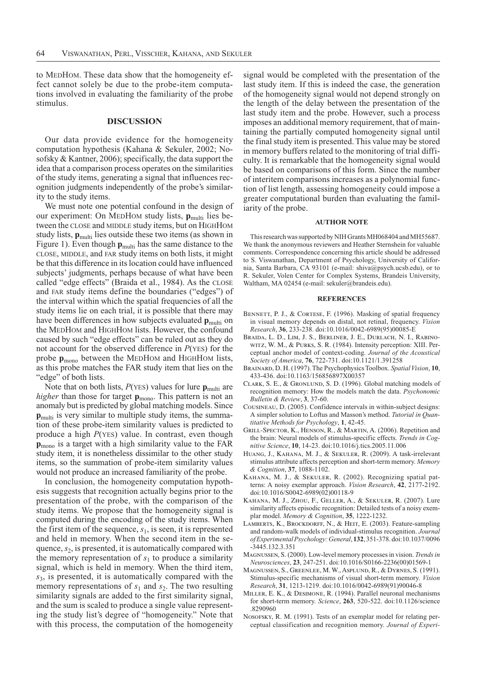to MEDHOM. These data show that the homogeneity effect cannot solely be due to the probe-item computations involved in evaluating the familiarity of the probe stimulus.

## **Discussion**

Our data provide evidence for the homogeneity computation hypothesis (Kahana & Sekuler, 2002; Nosofsky & Kantner, 2006); specifically, the data support the idea that a comparison process operates on the similarities of the study items, generating a signal that influences recognition judgments independently of the probe's similarity to the study items.

We must note one potential confound in the design of our experiment: On MEDHOM study lists, p<sub>multi</sub> lies between the CLOSE and MIDDLE study items, but on HIGHHOM study lists,  $\mathbf{p}_{multi}$  lies outside these two items (as shown in Figure 1). Even though  $p_{multi}$  has the same distance to the close, MIDDLE, and FAR study items on both lists, it might be that this difference in its location could have influenced subjects' judgments, perhaps because of what have been called "edge effects" (Braida et al., 1984). As the close and far study items define the boundaries ("edges") of the interval within which the spatial frequencies of all the study items lie on each trial, it is possible that there may have been differences in how subjects evaluated **p**<sub>multi</sub> on the MEDHOM and HIGHHOM lists. However, the confound caused by such "edge effects" can be ruled out as they do not account for the observed difference in *P*(yes) for the probe  $p_{\text{mono}}$  between the MEDHOM and HIGHHOM lists, as this probe matches the FAR study item that lies on the "edge" of both lists.

Note that on both lists,  $P(YES)$  values for lure  $p_{multi}$  are *higher* than those for target  $p_{\text{mono}}$ . This pattern is not an anomaly but is predicted by global matching models. Since **p**<sub>multi</sub> is very similar to multiple study items, the summation of these probe-item similarity values is predicted to produce a high *P*(yes) value. In contrast, even though **p**mono is a target with a high similarity value to the FAR study item, it is nonetheless dissimilar to the other study items, so the summation of probe-item similarity values would not produce an increased familiarity of the probe.

In conclusion, the homogeneity computation hypothesis suggests that recognition actually begins prior to the presentation of the probe, with the comparison of the study items. We propose that the homogeneity signal is computed during the encoding of the study items. When the first item of the sequence,  $s<sub>1</sub>$ , is seen, it is represented and held in memory. When the second item in the sequence,  $s_2$ , is presented, it is automatically compared with the memory representation of  $s<sub>1</sub>$  to produce a similarity signal, which is held in memory. When the third item, *s*3, is presented, it is automatically compared with the memory representations of  $s_1$  and  $s_2$ . The two resulting similarity signals are added to the first similarity signal, and the sum is scaled to produce a single value representing the study list's degree of "homogeneity." Note that with this process, the computation of the homogeneity signal would be completed with the presentation of the last study item. If this is indeed the case, the generation of the homogeneity signal would not depend strongly on the length of the delay between the presentation of the last study item and the probe. However, such a process imposes an additional memory requirement, that of maintaining the partially computed homogeneity signal until the final study item is presented. This value may be stored in memory buffers related to the monitoring of trial difficulty. It is remarkable that the homogeneity signal would be based on comparisons of this form. Since the number of interitem comparisons increases as a polynomial function of list length, assessing homogeneity could impose a greater computational burden than evaluating the familiarity of the probe.

#### **Author Note**

This research was supported by NIH Grants MH068404 and MH55687. We thank the anonymous reviewers and Heather Sternshein for valuable comments. Correspondence concerning this article should be addressed to S. Viswanathan, Department of Psychology, University of California, Santa Barbara, CA 93101 (e-mail: shiva@psych.ucsb.edu), or to R. Sekuler, Volen Center for Complex Systems, Brandeis University, Waltham, MA 02454 (e-mail: sekuler@brandeis.edu).

#### **References**

- BENNETT, P. J., & CORTESE, F. (1996). Masking of spatial frequency in visual memory depends on distal, not retinal, frequency. *Vision Research*, **36**, 233-238. doi:10.1016/0042-6989(95)00085-E
- Braida, L. D., Lim, J. S., Berliner, J. E., Durlach, N. I., Rabinowitz, W. M., & Purks, S. R. (1984). Intensity perception: XIII. Perceptual anchor model of context-coding. *Journal of the Acoustical Society of America*, **76**, 722-731. doi:10.1121/1.391258
- Brainard, D. H. (1997). The Psychophysics Toolbox. *Spatial Vision*, **10**, 433-436. doi:10.1163/156856897X00357
- Clark, S. E., & Gronlund, S. D. (1996). Global matching models of recognition memory: How the models match the data. *Psychonomic Bulletin & Review*, **3**, 37-60.
- Cousineau, D. (2005). Confidence intervals in within-subject designs: A simpler solution to Loftus and Masson's method. *Tutorial in Quantitative Methods for Psychology*, **1**, 42-45.
- Grill-Spector, K., Henson, R., & Martin, A. (2006). Repetition and the brain: Neural models of stimulus-specific effects. *Trends in Cognitive Science*, **10**, 14-23. doi:10.1016/j.tics.2005.11.006
- Huang, J., Kahana, M. J., & Sekuler, R. (2009). A task-irrelevant stimulus attribute affects perception and short-term memory. *Memory & Cognition*, **37**, 1088-1102.
- Kahana, M. J., & Sekuler, R. (2002). Recognizing spatial patterns: A noisy exemplar approach. *Vision Research*, **42**, 2177-2192. doi:10.1016/S0042-6989(02)00118-9
- Kahana, M. J., Zhou, F., Geller, A., & Sekuler, R. (2007). Lure similarity affects episodic recognition: Detailed tests of a noisy exemplar model. *Memory & Cognition*, **35**, 1222-1232.
- LAMBERTS, K., BROCKDORFF, N., & HEIT, E. (2003). Feature-sampling and random-walk models of individual-stimulus recognition. *Journal of Experimental Psychology: General*, **132**, 351-378. doi:10.1037/0096 -3445.132.3.351
- Magnussen, S. (2000). Low-level memory processes in vision. *Trends in Neurosciences*, **23**, 247-251. doi:10.1016/S0166-2236(00)01569-1
- Magnussen, S., Greenlee, M. W., Asplund, R., & Dyrnes, S. (1991). Stimulus-specific mechanisms of visual short-term memory. *Vision Research*, **31**, 1213-1219. doi:10.1016/0042-6989(91)90046-8
- Miller, E. K., & Desimone, R. (1994). Parallel neuronal mechanisms for short-term memory. *Science*, **263**, 520-522. doi:10.1126/science .8290960
- NOSOFSKY, R. M. (1991). Tests of an exemplar model for relating perceptual classification and recognition memory. *Journal of Experi-*